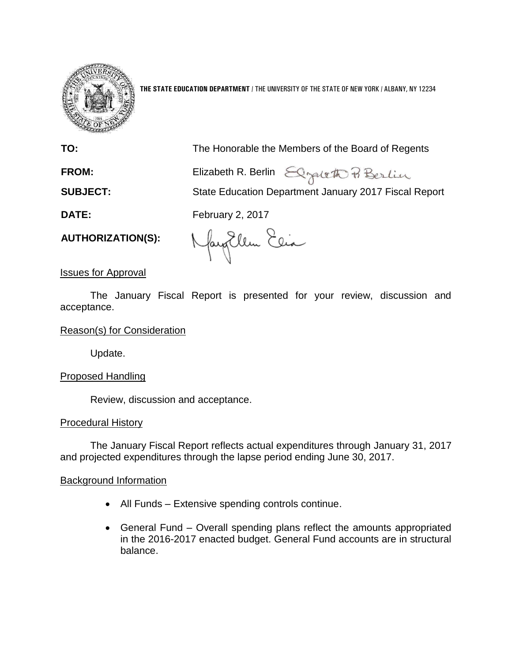

**THE STATE EDUCATION DEPARTMENT** / THE UNIVERSITY OF THE STATE OF NEW YORK / ALBANY, NY 12234

| TO:                      | The Honorable the Members of the Board of Regents     |
|--------------------------|-------------------------------------------------------|
| <b>FROM:</b>             | Elizabeth R. Berlin Elgent & Berlin                   |
| <b>SUBJECT:</b>          | State Education Department January 2017 Fiscal Report |
| DATE:                    | <b>February 2, 2017</b>                               |
| <b>AUTHORIZATION(S):</b> | Nayorlem Elia                                         |

Issues for Approval

The January Fiscal Report is presented for your review, discussion and acceptance.

# Reason(s) for Consideration

Update.

# Proposed Handling

Review, discussion and acceptance.

## Procedural History

The January Fiscal Report reflects actual expenditures through January 31, 2017 and projected expenditures through the lapse period ending June 30, 2017.

## Background Information

- All Funds Extensive spending controls continue.
- General Fund Overall spending plans reflect the amounts appropriated in the 2016-2017 enacted budget. General Fund accounts are in structural balance.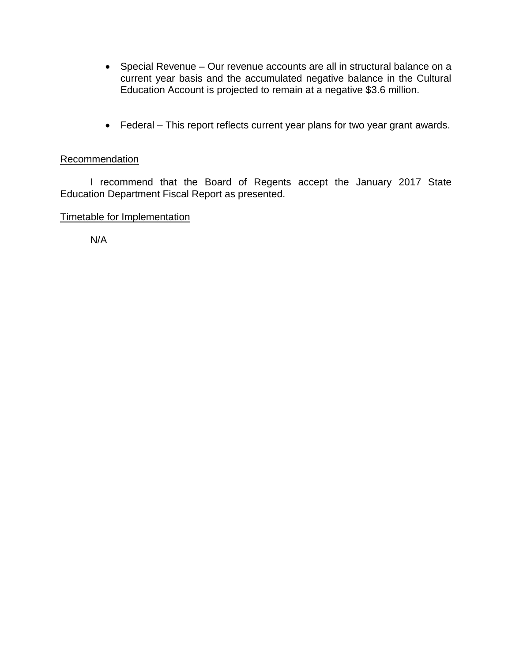- Special Revenue Our revenue accounts are all in structural balance on a current year basis and the accumulated negative balance in the Cultural Education Account is projected to remain at a negative \$3.6 million.
- Federal This report reflects current year plans for two year grant awards.

# Recommendation

I recommend that the Board of Regents accept the January 2017 State Education Department Fiscal Report as presented.

# Timetable for Implementation

N/A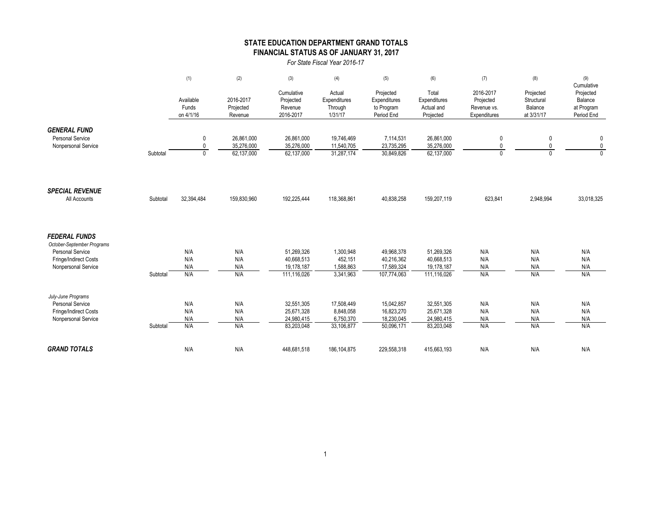## **STATE EDUCATION DEPARTMENT GRAND TOTALS FINANCIAL STATUS AS OF JANUARY 31, 2017**

*For State Fiscal Year 2016-17*

|                                                |          | (1)                             | (2)                               | (3)                                             | (4)                                          | (5)                                                   | (6)                                              | (7)                                                   | (8)                                              | (9)                                                            |
|------------------------------------------------|----------|---------------------------------|-----------------------------------|-------------------------------------------------|----------------------------------------------|-------------------------------------------------------|--------------------------------------------------|-------------------------------------------------------|--------------------------------------------------|----------------------------------------------------------------|
|                                                |          | Available<br>Funds<br>on 4/1/16 | 2016-2017<br>Projected<br>Revenue | Cumulative<br>Projected<br>Revenue<br>2016-2017 | Actual<br>Expenditures<br>Through<br>1/31/17 | Projected<br>Expenditures<br>to Program<br>Period End | Total<br>Expenditures<br>Actual and<br>Projected | 2016-2017<br>Projected<br>Revenue vs.<br>Expenditures | Projected<br>Structural<br>Balance<br>at 3/31/17 | Cumulative<br>Projected<br>Balance<br>at Program<br>Period End |
| <b>GENERAL FUND</b>                            |          |                                 |                                   |                                                 |                                              |                                                       |                                                  |                                                       |                                                  |                                                                |
| <b>Personal Service</b><br>Nonpersonal Service |          | 0<br>0                          | 26,861,000<br>35,276,000          | 26,861,000<br>35,276,000                        | 19,746,469<br>11,540,705                     | 7,114,531<br>23,735,295                               | 26,861,000<br>35,276,000                         | 0<br>0                                                | 0<br>0                                           | 0<br>$\pmb{0}$                                                 |
|                                                | Subtotal | $\mathbf{0}$                    | 62,137,000                        | 62,137,000                                      | 31,287,174                                   | 30,849,826                                            | 62,137,000                                       | $\Omega$                                              | $\Omega$                                         | $\Omega$                                                       |
|                                                |          |                                 |                                   |                                                 |                                              |                                                       |                                                  |                                                       |                                                  |                                                                |
| <b>SPECIAL REVENUE</b><br>All Accounts         | Subtotal | 32,394,484                      | 159,830,960                       | 192,225,444                                     | 118,368,861                                  | 40.838.258                                            | 159,207,119                                      | 623.841                                               | 2,948,994                                        | 33,018,325                                                     |
| <b>FEDERAL FUNDS</b>                           |          |                                 |                                   |                                                 |                                              |                                                       |                                                  |                                                       |                                                  |                                                                |
| October-September Programs                     |          |                                 |                                   |                                                 |                                              |                                                       |                                                  |                                                       |                                                  |                                                                |
| <b>Personal Service</b>                        |          | N/A<br>N/A                      | N/A                               | 51,269,326                                      | 1,300,948                                    | 49,968,378                                            | 51,269,326                                       | N/A                                                   | N/A<br>N/A                                       | N/A                                                            |
| Fringe/Indirect Costs<br>Nonpersonal Service   |          | N/A                             | N/A<br>N/A                        | 40,668,513<br>19,178,187                        | 452,151<br>1,588,863                         | 40,216,362<br>17,589,324                              | 40,668,513<br>19,178,187                         | N/A<br>N/A                                            | N/A                                              | N/A<br>N/A                                                     |
|                                                | Subtotal | N/A                             | N/A                               | 111,116,026                                     | 3,341,963                                    | 107,774,063                                           | 111,116,026                                      | N/A                                                   | N/A                                              | N/A                                                            |
| July-June Programs                             |          |                                 |                                   |                                                 |                                              |                                                       |                                                  |                                                       |                                                  |                                                                |
| <b>Personal Service</b>                        |          | N/A                             | N/A                               | 32,551,305                                      | 17,508,449                                   | 15,042,857                                            | 32,551,305                                       | N/A                                                   | N/A                                              | N/A                                                            |
| Fringe/Indirect Costs                          |          | N/A                             | N/A                               | 25,671,328                                      | 8,848,058                                    | 16,823,270                                            | 25,671,328                                       | N/A                                                   | N/A                                              | N/A                                                            |
| Nonpersonal Service                            | Subtotal | N/A<br>N/A                      | N/A<br>N/A                        | 24,980,415<br>83,203,048                        | 6,750,370<br>33,106,877                      | 18,230,045<br>50,096,171                              | 24,980,415<br>83,203,048                         | N/A<br>N/A                                            | N/A<br>N/A                                       | N/A<br>N/A                                                     |
|                                                |          |                                 |                                   |                                                 |                                              |                                                       |                                                  |                                                       |                                                  |                                                                |
| <b>GRAND TOTALS</b>                            |          | N/A                             | N/A                               | 448,681,518                                     | 186, 104, 875                                | 229,558,318                                           | 415,663,193                                      | N/A                                                   | N/A                                              | N/A                                                            |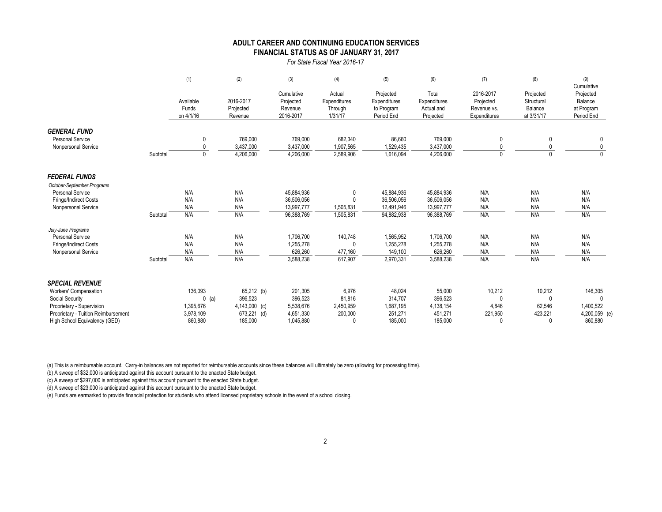#### **FINANCIAL STATUS AS OF JANUARY 31, 2017 ADULT CAREER AND CONTINUING EDUCATION SERVICES**

*For State Fiscal Year 2016-17*

|                                     |          | (1)       | (2)           | (3)        | (4)          | (5)          | (6)          | (7)          | (8)          | (9)<br>Cumulative |
|-------------------------------------|----------|-----------|---------------|------------|--------------|--------------|--------------|--------------|--------------|-------------------|
|                                     |          |           |               | Cumulative | Actual       | Projected    | Total        | 2016-2017    | Projected    | Projected         |
|                                     |          | Available | 2016-2017     | Projected  | Expenditures | Expenditures | Expenditures | Projected    | Structural   | Balance           |
|                                     |          | Funds     | Projected     | Revenue    | Through      | to Program   | Actual and   | Revenue vs.  | Balance      | at Program        |
|                                     |          | on 4/1/16 | Revenue       | 2016-2017  | 1/31/17      | Period End   | Projected    | Expenditures | at 3/31/17   | Period End        |
| <b>GENERAL FUND</b>                 |          |           |               |            |              |              |              |              |              |                   |
| <b>Personal Service</b>             |          | 0         | 769,000       | 769,000    | 682,340      | 86,660       | 769,000      | 0            | $\mathbf{0}$ | 0                 |
| Nonpersonal Service                 |          | 0         | 3,437,000     | 3,437,000  | 1,907,565    | 1,529,435    | 3,437,000    | $\mathbf{0}$ |              |                   |
|                                     | Subtotal | 0         | 4,206,000     | 4,206,000  | 2,589,906    | 1,616,094    | 4,206,000    | $\mathbf 0$  |              |                   |
|                                     |          |           |               |            |              |              |              |              |              |                   |
| <b>FEDERAL FUNDS</b>                |          |           |               |            |              |              |              |              |              |                   |
| October-September Programs          |          |           |               |            |              |              |              |              |              |                   |
| <b>Personal Service</b>             |          | N/A       | N/A           | 45,884,936 | $\Omega$     | 45,884,936   | 45,884,936   | N/A          | N/A          | N/A               |
| <b>Fringe/Indirect Costs</b>        |          | N/A       | N/A           | 36,506,056 |              | 36,506,056   | 36,506,056   | N/A          | N/A          | N/A               |
| Nonpersonal Service                 |          | N/A       | N/A           | 13,997,777 | 1,505,831    | 12,491,946   | 13,997,777   | N/A          | N/A          | N/A               |
|                                     | Subtotal | N/A       | N/A           | 96,388,769 | 1,505,831    | 94,882,938   | 96,388,769   | N/A          | N/A          | N/A               |
| July-June Programs                  |          |           |               |            |              |              |              |              |              |                   |
| <b>Personal Service</b>             |          | N/A       | N/A           | 1,706,700  | 140,748      | 1,565,952    | 1,706,700    | N/A          | N/A          | N/A               |
| <b>Fringe/Indirect Costs</b>        |          | N/A       | N/A           | 1,255,278  |              | 1,255,278    | 1,255,278    | N/A          | N/A          | N/A               |
| Nonpersonal Service                 |          | N/A       | N/A           | 626,260    | 477,160      | 149,100      | 626,260      | N/A          | N/A          | N/A               |
|                                     | Subtotal | N/A       | N/A           | 3,588,238  | 617,907      | 2,970,331    | 3,588,238    | N/A          | N/A          | N/A               |
| <b>SPECIAL REVENUE</b>              |          |           |               |            |              |              |              |              |              |                   |
| Workers' Compensation               |          | 136,093   | 65,212 (b)    | 201,305    | 6,976        | 48,024       | 55,000       | 10,212       | 10,212       | 146,305           |
| Social Security                     |          | $0$ (a)   | 396,523       | 396,523    | 81,816       | 314,707      | 396,523      | $\Omega$     | $\Omega$     |                   |
| Proprietary - Supervision           |          | 1,395,676 | 4,143,000 (c) | 5,538,676  | 2,450,959    | 1,687,195    | 4,138,154    | 4,846        | 62,546       | 1,400,522         |
| Proprietary - Tuition Reimbursement |          | 3,978,109 | 673,221 (d)   | 4,651,330  | 200,000      | 251,271      | 451,271      | 221,950      | 423,221      | 4,200,059 (e)     |
| High School Equivalency (GED)       |          | 860.880   | 185,000       | 1,045,880  |              | 185,000      | 185,000      | $\Omega$     | $\cup$       | 860,880           |

(a) This is a reimbursable account. Carry-in balances are not reported for reimbursable accounts since these balances will ultimately be zero (allowing for processing time).

(b) A sweep of \$32,000 is anticipated against this account pursuant to the enacted State budget.

(c) A sweep of \$297,000 is anticipated against this account pursuant to the enacted State budget.

(d) A sweep of \$23,000 is anticipated against this account pursuant to the enacted State budget.

(e) Funds are earmarked to provide financial protection for students who attend licensed proprietary schools in the event of a school closing.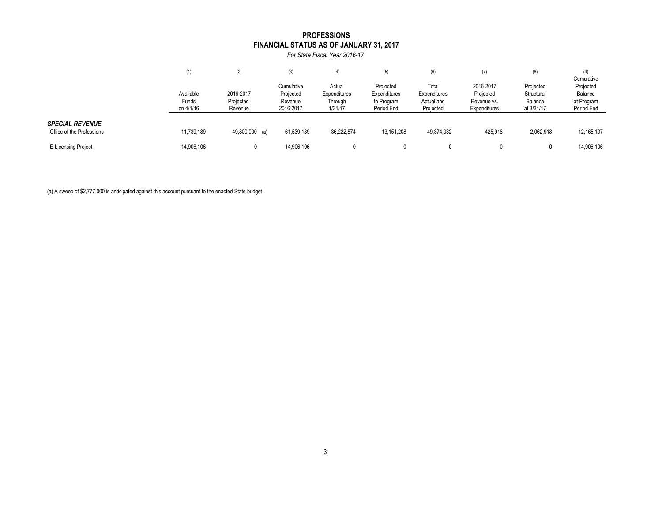## **FINANCIAL STATUS AS OF JANUARY 31, 2017 PROFESSIONS**

*For State Fiscal Year 2016-17*

|                                                     | (1)                             | (2)                               | (3)                                             | (4)                                          | (5)                                                   | (6)                                              | (7)                                                   | (8)                                              | (9)<br>Cumulative                                |
|-----------------------------------------------------|---------------------------------|-----------------------------------|-------------------------------------------------|----------------------------------------------|-------------------------------------------------------|--------------------------------------------------|-------------------------------------------------------|--------------------------------------------------|--------------------------------------------------|
|                                                     | Available<br>Funds<br>on 4/1/16 | 2016-2017<br>Projected<br>Revenue | Cumulative<br>Projected<br>Revenue<br>2016-2017 | Actual<br>Expenditures<br>Through<br>1/31/17 | Projected<br>Expenditures<br>to Program<br>Period End | Total<br>Expenditures<br>Actual and<br>Projected | 2016-2017<br>Projected<br>Revenue vs.<br>Expenditures | Projected<br>Structural<br>Balance<br>at 3/31/17 | Projected<br>Balance<br>at Program<br>Period End |
| <b>SPECIAL REVENUE</b><br>Office of the Professions | 11,739,189                      | 49,800,000 (a)                    | 61,539,189                                      | 36,222,874                                   | 13,151,208                                            | 49,374,082                                       | 425.918                                               | 2,062,918                                        | 12, 165, 107                                     |
| <b>E-Licensing Project</b>                          | 14,906,106                      |                                   | 14,906,106                                      |                                              |                                                       |                                                  |                                                       |                                                  | 14,906,106                                       |

(a) A sweep of \$2,777,000 is anticipated against this account pursuant to the enacted State budget.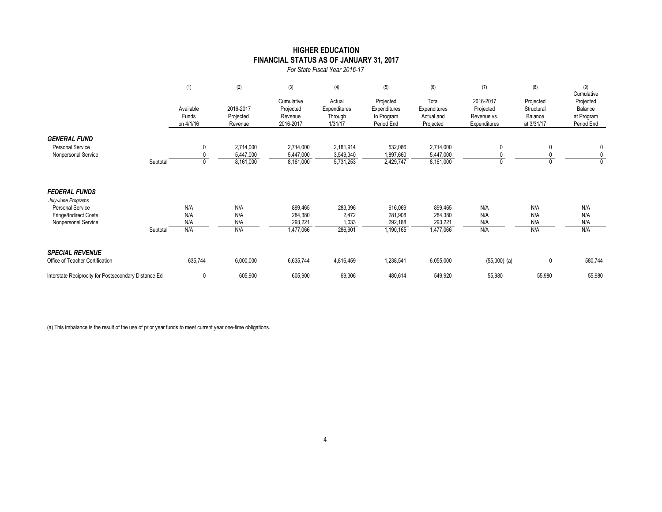## **FINANCIAL STATUS AS OF JANUARY 31, 2017 HIGHER EDUCATION**

*For State Fiscal Year 2016-17*

|                                                                                                                |          | (1)                             | (2)                                 | (3)                                             | (4)                                          | (5)                                                   | (6)                                              | (7)                                                   | (8)                                              | (9)<br>Cumulative                                |
|----------------------------------------------------------------------------------------------------------------|----------|---------------------------------|-------------------------------------|-------------------------------------------------|----------------------------------------------|-------------------------------------------------------|--------------------------------------------------|-------------------------------------------------------|--------------------------------------------------|--------------------------------------------------|
|                                                                                                                |          | Available<br>Funds<br>on 4/1/16 | 2016-2017<br>Projected<br>Revenue   | Cumulative<br>Projected<br>Revenue<br>2016-2017 | Actual<br>Expenditures<br>Through<br>1/31/17 | Projected<br>Expenditures<br>to Program<br>Period End | Total<br>Expenditures<br>Actual and<br>Projected | 2016-2017<br>Projected<br>Revenue vs.<br>Expenditures | Projected<br>Structural<br>Balance<br>at 3/31/17 | Projected<br>Balance<br>at Program<br>Period End |
| <b>GENERAL FUND</b><br><b>Personal Service</b><br>Nonpersonal Service                                          | Subtotal | $\mathbf{0}$                    | 2,714,000<br>5,447,000<br>8,161,000 | 2,714,000<br>5,447,000<br>8,161,000             | 2,181,914<br>3,549,340<br>5,731,253          | 532,086<br>1,897,660<br>2,429,747                     | 2,714,000<br>5,447,000<br>8,161,000              | 0<br>0                                                |                                                  | 0<br>$\mathbf 0$<br>$\mathbf{0}$                 |
| <b>FEDERAL FUNDS</b><br>July-June Programs<br>Personal Service<br>Fringe/Indirect Costs<br>Nonpersonal Service | Subtotal | N/A<br>N/A<br>N/A<br>N/A        | N/A<br>N/A<br>N/A<br>N/A            | 899,465<br>284,380<br>293,221<br>1,477,066      | 283,396<br>2,472<br>1,033<br>286,901         | 616,069<br>281,908<br>292,188<br>1,190,165            | 899,465<br>284,380<br>293,221<br>1,477,066       | N/A<br>N/A<br>N/A<br>N/A                              | N/A<br>N/A<br>N/A<br>N/A                         | N/A<br>N/A<br>N/A<br>N/A                         |
| <b>SPECIAL REVENUE</b><br>Office of Teacher Certification                                                      |          | 635,744                         | 6,000,000                           | 6,635,744                                       | 4,816,459                                    | 1,238,541                                             | 6,055,000                                        | $(55,000)$ (a)                                        | 0                                                | 580,744                                          |
| Interstate Reciprocity for Postsecondary Distance Ed                                                           |          | 0                               | 605,900                             | 605,900                                         | 69,306                                       | 480,614                                               | 549,920                                          | 55,980                                                | 55,980                                           | 55,980                                           |

(a) This imbalance is the result of the use of prior year funds to meet current year one-time obligations.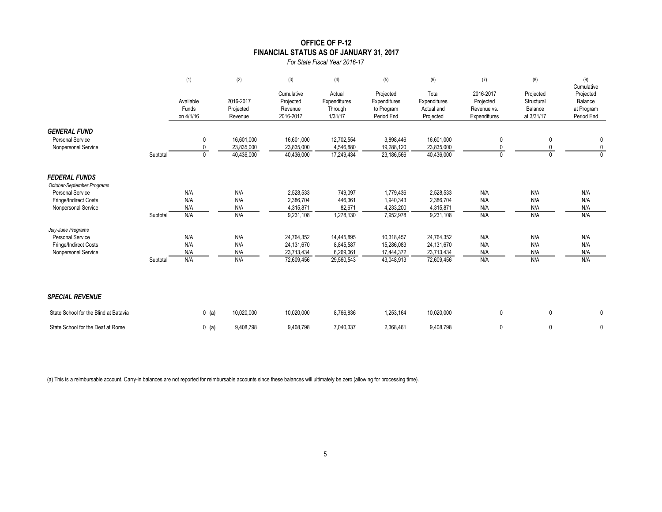# **OFFICE OF P-12 FINANCIAL STATUS AS OF JANUARY 31, 2017**

*For State Fiscal Year 2016-17*

|                                                                       |          | (1)                             | (2)                                    | (3)                                             | (4)                                          | (5)                                                   | (6)                                              | (7)                                                   | (8)                                              | (9)<br>Cumulative                                |
|-----------------------------------------------------------------------|----------|---------------------------------|----------------------------------------|-------------------------------------------------|----------------------------------------------|-------------------------------------------------------|--------------------------------------------------|-------------------------------------------------------|--------------------------------------------------|--------------------------------------------------|
|                                                                       |          | Available<br>Funds<br>on 4/1/16 | 2016-2017<br>Projected<br>Revenue      | Cumulative<br>Projected<br>Revenue<br>2016-2017 | Actual<br>Expenditures<br>Through<br>1/31/17 | Projected<br>Expenditures<br>to Program<br>Period End | Total<br>Expenditures<br>Actual and<br>Projected | 2016-2017<br>Projected<br>Revenue vs.<br>Expenditures | Projected<br>Structural<br>Balance<br>at 3/31/17 | Projected<br>Balance<br>at Program<br>Period End |
| <b>GENERAL FUND</b><br><b>Personal Service</b><br>Nonpersonal Service | Subtotal | 0<br>$\mathbf{0}$<br>0          | 16.601.000<br>23,835,000<br>40,436,000 | 16,601,000<br>23,835,000<br>40,436,000          | 12,702,554<br>4,546,880<br>17,249,434        | 3,898,446<br>19,288,120<br>23,186,566                 | 16,601,000<br>23,835,000<br>40,436,000           | 0<br>$\Omega$                                         | 0<br>0                                           | 0<br>$\mathbf 0$<br>$\Omega$                     |
| <b>FEDERAL FUNDS</b><br>October-September Programs                    |          |                                 |                                        |                                                 |                                              |                                                       |                                                  |                                                       |                                                  |                                                  |
| <b>Personal Service</b>                                               |          | N/A                             | N/A                                    | 2,528,533                                       | 749,097                                      | 1,779,436                                             | 2,528,533                                        | N/A                                                   | N/A                                              | N/A                                              |
| Fringe/Indirect Costs                                                 |          | N/A                             | N/A                                    | 2,386,704                                       | 446,361                                      | 1,940,343                                             | 2,386,704                                        | N/A                                                   | N/A                                              | N/A                                              |
| Nonpersonal Service                                                   |          | N/A                             | N/A                                    | 4,315,871                                       | 82,671                                       | 4,233,200                                             | 4,315,871                                        | N/A                                                   | N/A                                              | N/A                                              |
|                                                                       | Subtotal | N/A                             | N/A                                    | 9,231,108                                       | 1,278,130                                    | 7,952,978                                             | 9,231,108                                        | N/A                                                   | N/A                                              | N/A                                              |
| July-June Programs                                                    |          |                                 |                                        |                                                 |                                              |                                                       |                                                  |                                                       |                                                  |                                                  |
| Personal Service                                                      |          | N/A<br>N/A                      | N/A<br>N/A                             | 24,764,352<br>24,131,670                        | 14,445,895<br>8,845,587                      | 10,318,457<br>15,286,083                              | 24,764,352<br>24,131,670                         | N/A<br>N/A                                            | N/A<br>N/A                                       | N/A<br>N/A                                       |
| Fringe/Indirect Costs<br>Nonpersonal Service                          |          | N/A                             | N/A                                    | 23,713,434                                      | 6,269,061                                    | 17,444,372                                            | 23,713,434                                       | N/A                                                   | N/A                                              | N/A                                              |
|                                                                       | Subtotal | N/A                             | N/A                                    | 72,609,456                                      | 29,560,543                                   | 43,048,913                                            | 72,609,456                                       | N/A                                                   | N/A                                              | N/A                                              |
| <b>SPECIAL REVENUE</b>                                                |          |                                 |                                        |                                                 |                                              |                                                       |                                                  |                                                       |                                                  |                                                  |
| State School for the Blind at Batavia                                 |          | $0$ (a)                         | 10,020,000                             | 10,020,000                                      | 8,766,836                                    | 1,253,164                                             | 10,020,000                                       | $\mathbf 0$                                           | 0                                                | 0                                                |
| State School for the Deaf at Rome                                     |          | $0$ (a)                         | 9,408,798                              | 9,408,798                                       | 7,040,337                                    | 2.368.461                                             | 9.408.798                                        | 0                                                     | $\mathbf{0}$                                     | 0                                                |

(a) This is a reimbursable account. Carry-in balances are not reported for reimbursable accounts since these balances will ultimately be zero (allowing for processing time).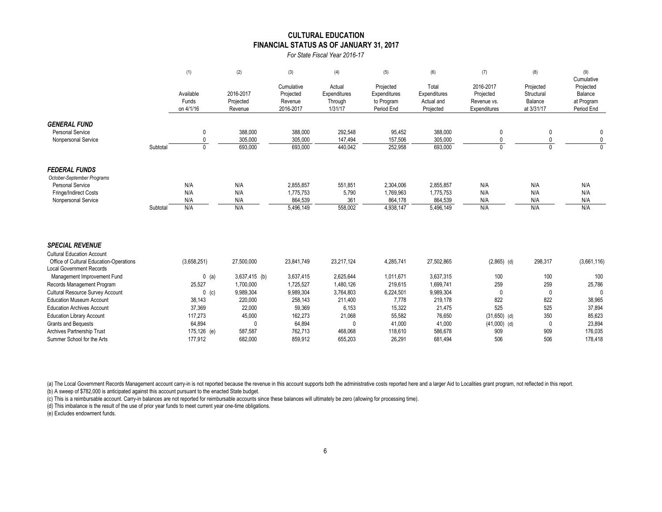#### **CULTURAL EDUCATION FINANCIAL STATUS AS OF JANUARY 31, 2017**

*For State Fiscal Year 2016-17*

|                                                                                                                                                                                                        |          | (1)                                     | (2)                                      | (3)                                             | (4)                                          | (5)                                                   | (6)                                              | (7)                                                   | (8)                                              | (9)                                                            |
|--------------------------------------------------------------------------------------------------------------------------------------------------------------------------------------------------------|----------|-----------------------------------------|------------------------------------------|-------------------------------------------------|----------------------------------------------|-------------------------------------------------------|--------------------------------------------------|-------------------------------------------------------|--------------------------------------------------|----------------------------------------------------------------|
|                                                                                                                                                                                                        |          | Available<br>Funds<br>on 4/1/16         | 2016-2017<br>Projected<br>Revenue        | Cumulative<br>Projected<br>Revenue<br>2016-2017 | Actual<br>Expenditures<br>Through<br>1/31/17 | Projected<br>Expenditures<br>to Program<br>Period End | Total<br>Expenditures<br>Actual and<br>Projected | 2016-2017<br>Projected<br>Revenue vs.<br>Expenditures | Projected<br>Structural<br>Balance<br>at 3/31/17 | Cumulative<br>Projected<br>Balance<br>at Program<br>Period End |
| <b>GENERAL FUND</b><br><b>Personal Service</b><br>Nonpersonal Service                                                                                                                                  | Subtotal | $\mathbf 0$<br>$\Omega$<br>$\mathbf{0}$ | 388,000<br>305,000<br>693,000            | 388,000<br>305.000<br>693,000                   | 292,548<br>147,494<br>440,042                | 95,452<br>157,506<br>252,958                          | 388,000<br>305,000<br>693,000                    | 0<br>$\Omega$                                         | 0<br>$\Omega$                                    | 0<br>0<br>$\Omega$                                             |
| <b>FEDERAL FUNDS</b><br>October-September Programs<br><b>Personal Service</b><br>Fringe/Indirect Costs<br>Nonpersonal Service                                                                          | Subtotal | N/A<br>N/A<br>N/A<br>N/A                | N/A<br>N/A<br>N/A<br>N/A                 | 2,855,857<br>1,775,753<br>864,539<br>5,496,149  | 551,851<br>5,790<br>361<br>558,002           | 2,304,006<br>1,769,963<br>864,178<br>4,938,147        | 2,855,857<br>1,775,753<br>864,539<br>5,496,149   | N/A<br>N/A<br>N/A<br>N/A                              | N/A<br>N/A<br>N/A<br>N/A                         | N/A<br>N/A<br>N/A<br>N/A                                       |
| <b>SPECIAL REVENUE</b><br><b>Cultural Education Account</b><br>Office of Cultural Education-Operations<br><b>Local Government Records</b><br>Management Improvement Fund<br>Records Management Program |          | (3,658,251)<br>$0$ (a)<br>25,527        | 27,500,000<br>3,637,415 (b)<br>1,700,000 | 23,841,749<br>3,637,415<br>1,725,527            | 23,217,124<br>2,625,644<br>1,480,126         | 4,285,741<br>1,011,671<br>219,615                     | 27,502,865<br>3,637,315<br>1,699,741             | $(2,865)$ (d)<br>100<br>259                           | 298,317<br>100<br>259                            | (3,661,116)<br>100<br>25,786                                   |
| <b>Cultural Resource Survey Account</b><br><b>Education Museum Account</b>                                                                                                                             |          | $0$ (c)<br>38,143                       | 9,989,304<br>220,000                     | 9,989,304<br>258.143                            | 3,764,803<br>211.400                         | 6,224,501<br>7.778                                    | 9,989,304<br>219.178                             | $\mathbf{0}$<br>822                                   | $\Omega$<br>822                                  | 0<br>38.965                                                    |

Education Archives Account 37,369 22,000 59,369 6,153 15,322 21,475 525 525 37,894 Education Library Account 117,273 117,273 45,000 162,273 21,068 55,582 76,650 (31,650) (d) 350 85,623 Grants and Bequests 64,894 0 64,894 0 41,000 41,000 (41,000) (d) 0 23,894 Archives Partnership Trust 175,126 (e) 587,587 762,713 468,068 118,610 586,678 909 909 909 176,035 Summer School for the Arts 177,912 682,000 859,912 655,203 26,291 681,494 506 506 506 178,418

(a) The Local Government Records Management account carry-in is not reported because the revenue in this account supports both the administrative costs reported here and a larger Aid to Localities grant program, not reflec (b) A sweep of \$782,000 is anticipated against this account pursuant to the enacted State budget.

(c) This is a reimbursable account. Carry-in balances are not reported for reimbursable accounts since these balances will ultimately be zero (allowing for processing time).

(d) This imbalance is the result of the use of prior year funds to meet current year one-time obligations.

(e) Excludes endowment funds.